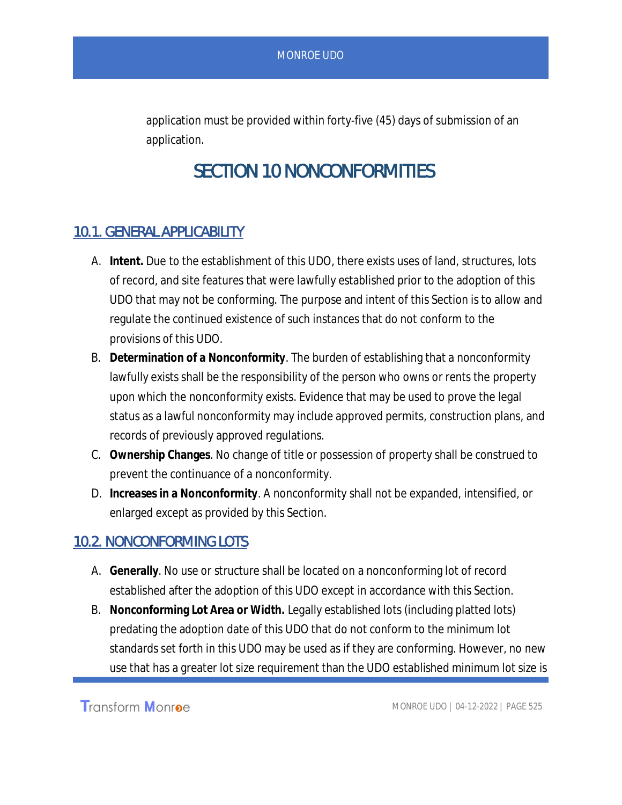application must be provided within forty-five (45) days of submission of an application.

# SECTION 10 NONCONFORMITIES

## 10.1. GENERAL APPLICABILITY

- A. **Intent.** Due to the establishment of this UDO, there exists uses of land, structures, lots of record, and site features that were lawfully established prior to the adoption of this UDO that may not be conforming. The purpose and intent of this Section is to allow and regulate the continued existence of such instances that do not conform to the provisions of this UDO.
- B. **Determination of a Nonconformity**. The burden of establishing that a nonconformity lawfully exists shall be the responsibility of the person who owns or rents the property upon which the nonconformity exists. Evidence that may be used to prove the legal status as a lawful nonconformity may include approved permits, construction plans, and records of previously approved regulations.
- C. **Ownership Changes**. No change of title or possession of property shall be construed to prevent the continuance of a nonconformity.
- D. **Increases in a Nonconformity**. A nonconformity shall not be expanded, intensified, or enlarged except as provided by this Section.

### 10.2. NONCONFORMING LOTS

- A. **Generally**. No use or structure shall be located on a nonconforming lot of record established after the adoption of this UDO except in accordance with this Section.
- B. **Nonconforming Lot Area or Width.** Legally established lots (including platted lots) predating the adoption date of this UDO that do not conform to the minimum lot standards set forth in this UDO may be used as if they are conforming. However, no new use that has a greater lot size requirement than the UDO established minimum lot size is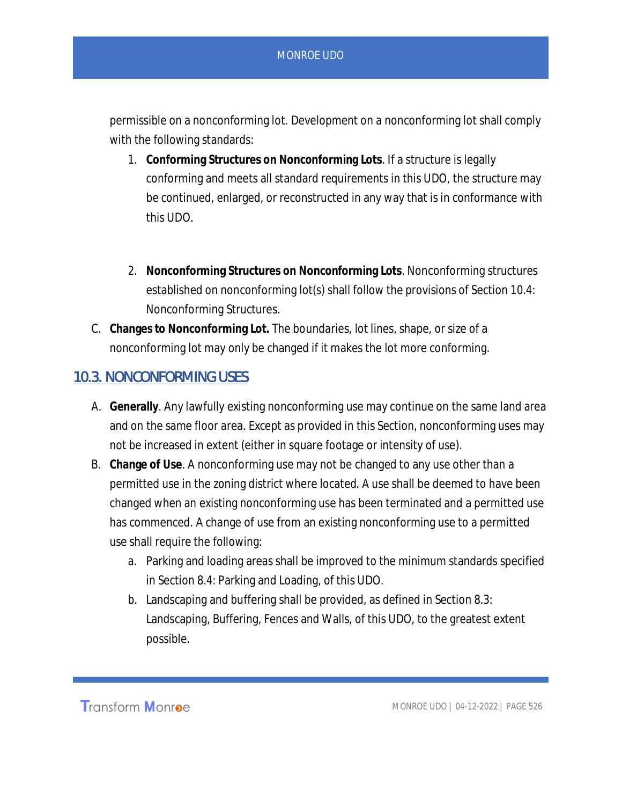#### MONROE UDO

permissible on a nonconforming lot. Development on a nonconforming lot shall comply with the following standards:

- 1. **Conforming Structures on Nonconforming Lots**. If a structure is legally conforming and meets all standard requirements in this UDO, the structure may be continued, enlarged, or reconstructed in any way that is in conformance with this UDO.
- 2. **Nonconforming Structures on Nonconforming Lots**. Nonconforming structures established on nonconforming lot(s) shall follow the provisions of Section 10.4: Nonconforming Structures.
- C. **Changes to Nonconforming Lot.** The boundaries, lot lines, shape, or size of a nonconforming lot may only be changed if it makes the lot more conforming.

## 10.3. NONCONFORMING USES

- A. **Generally**. Any lawfully existing nonconforming use may continue on the same land area and on the same floor area. Except as provided in this Section, nonconforming uses may not be increased in extent (either in square footage or intensity of use).
- B. **Change of Use**. A nonconforming use may not be changed to any use other than a permitted use in the zoning district where located. A use shall be deemed to have been changed when an existing nonconforming use has been terminated and a permitted use has commenced. A change of use from an existing nonconforming use to a permitted use shall require the following:
	- a. Parking and loading areas shall be improved to the minimum standards specified in Section 8.4: Parking and Loading, of this UDO.
	- b. Landscaping and buffering shall be provided, as defined in Section 8.3: Landscaping, Buffering, Fences and Walls, of this UDO, to the greatest extent possible.

Transform Monroe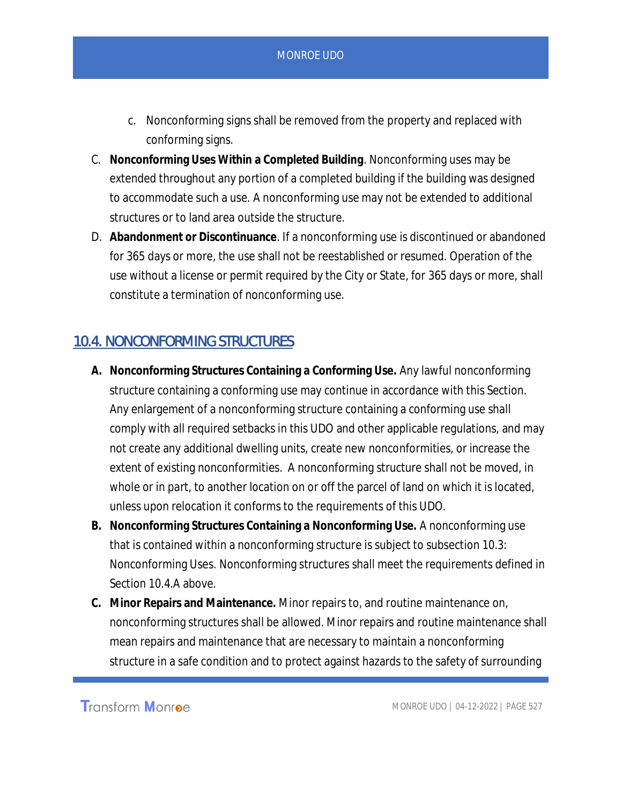- c. Nonconforming signs shall be removed from the property and replaced with conforming signs.
- C. **Nonconforming Uses Within a Completed Building**. Nonconforming uses may be extended throughout any portion of a completed building if the building was designed to accommodate such a use. A nonconforming use may not be extended to additional structures or to land area outside the structure.
- D. **Abandonment or Discontinuance**. If a nonconforming use is discontinued or abandoned for 365 days or more, the use shall not be reestablished or resumed. Operation of the use without a license or permit required by the City or State, for 365 days or more, shall constitute a termination of nonconforming use.

## 10.4. NONCONFORMING STRUCTURES

- **A. Nonconforming Structures Containing a Conforming Use.** Any lawful nonconforming structure containing a conforming use may continue in accordance with this Section. Any enlargement of a nonconforming structure containing a conforming use shall comply with all required setbacks in this UDO and other applicable regulations, and may not create any additional dwelling units, create new nonconformities, or increase the extent of existing nonconformities. A nonconforming structure shall not be moved, in whole or in part, to another location on or off the parcel of land on which it is located, unless upon relocation it conforms to the requirements of this UDO.
- **B. Nonconforming Structures Containing a Nonconforming Use.** A nonconforming use that is contained within a nonconforming structure is subject to subsection 10.3: Nonconforming Uses. Nonconforming structures shall meet the requirements defined in Section 10.4.A above.
- **C. Minor Repairs and Maintenance.** Minor repairs to, and routine maintenance on, nonconforming structures shall be allowed. Minor repairs and routine maintenance shall mean repairs and maintenance that are necessary to maintain a nonconforming structure in a safe condition and to protect against hazards to the safety of surrounding

**Transform Monroe**